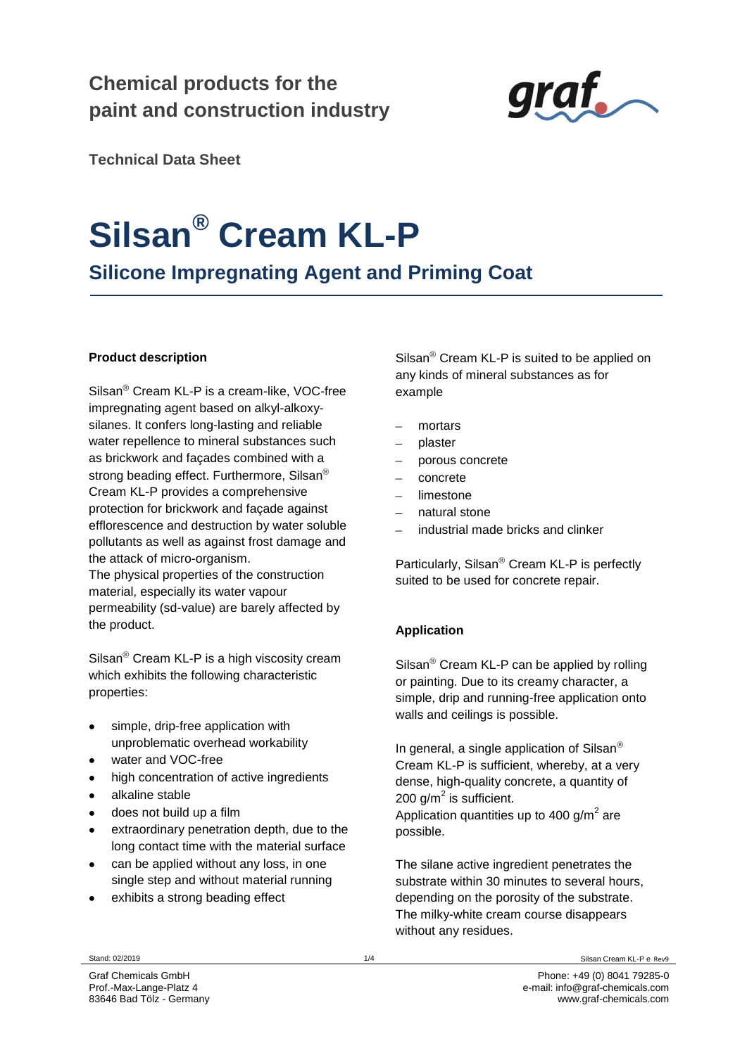### **Chemical products for the paint and construction industry**



**Technical Data Sheet**

## **Silsan® Cream KL-P**

**Silicone Impregnating Agent and Priming Coat**

#### **Product description**

 $Silsan^@$  Cream KL-P is a cream-like, VOC-free impregnating agent based on alkyl-alkoxysilanes. It confers long-lasting and reliable water repellence to mineral substances such as brickwork and façades combined with a strong beading effect. Furthermore, Silsan<sup>®</sup> Cream KL-P provides a comprehensive protection for brickwork and façade against efflorescence and destruction by water soluble pollutants as well as against frost damage and the attack of micro-organism.

The physical properties of the construction material, especially its water vapour permeability (sd-value) are barely affected by the product.

Silsan $^{\circledR}$  Cream KL-P is a high viscosity cream which exhibits the following characteristic properties:

- simple, drip-free application with unproblematic overhead workability
- water and VOC-free
- high concentration of active ingredients  $\bullet$
- alkaline stable
- does not build up a film
- extraordinary penetration depth, due to the long contact time with the material surface
- can be applied without any loss, in one single step and without material running
- exhibits a strong beading effect

Silsan<sup>®</sup> Cream KL-P is suited to be applied on any kinds of mineral substances as for example

- mortars
- plaster
- porous concrete
- concrete
- limestone
- natural stone
- industrial made bricks and clinker  $\mathbf{r}$

Particularly, Silsan<sup>®</sup> Cream KL-P is perfectly suited to be used for concrete repair.

#### **Application**

Silsan<sup>®</sup> Cream KL-P can be applied by rolling or painting. Due to its creamy character, a simple, drip and running-free application onto walls and ceilings is possible.

In general, a single application of Silsan<sup>®</sup> Cream KL-P is sufficient, whereby, at a very dense, high-quality concrete, a quantity of 200  $g/m^2$  is sufficient. Application quantities up to 400  $g/m^2$  are possible.

The silane active ingredient penetrates the substrate within 30 minutes to several hours, depending on the porosity of the substrate. The milky-white cream course disappears without any residues.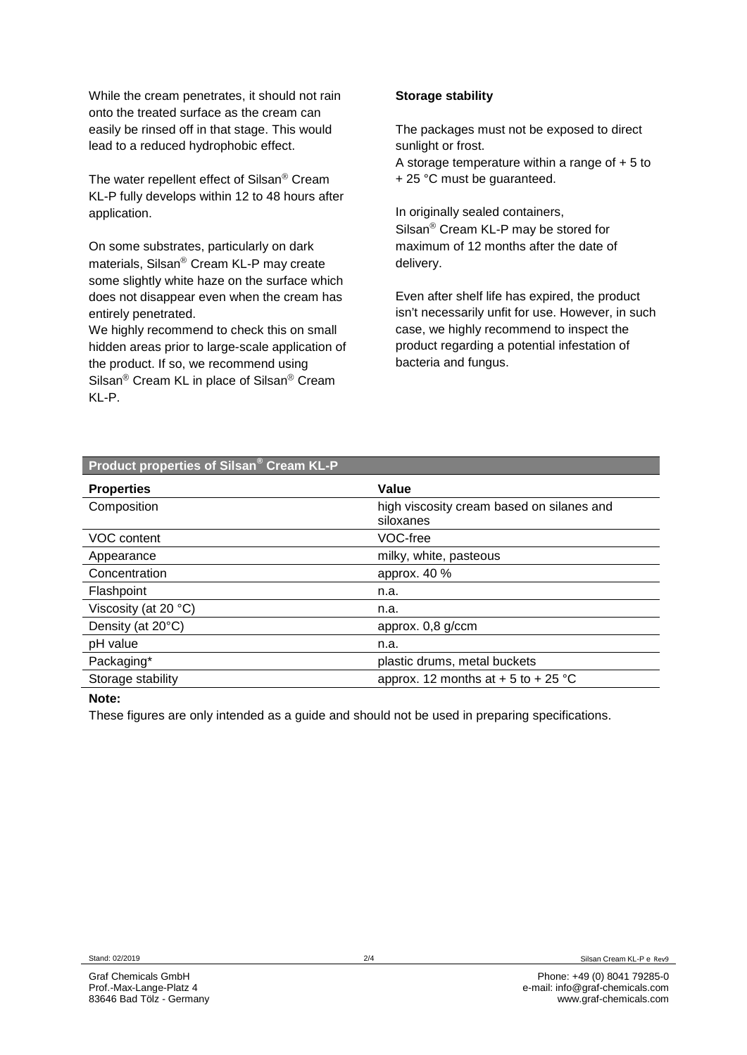While the cream penetrates, it should not rain onto the treated surface as the cream can easily be rinsed off in that stage. This would lead to a reduced hydrophobic effect.

The water repellent effect of Silsan<sup>®</sup> Cream KL-P fully develops within 12 to 48 hours after application.

On some substrates, particularly on dark materials, Silsan<sup>®</sup> Cream KL-P may create some slightly white haze on the surface which does not disappear even when the cream has entirely penetrated.

We highly recommend to check this on small hidden areas prior to large-scale application of the product. If so, we recommend using Silsan<sup>®</sup> Cream KL in place of Silsan<sup>®</sup> Cream KL-P.

#### **Storage stability**

The packages must not be exposed to direct sunlight or frost.

A storage temperature within a range of  $+5$  to + 25 °C must be guaranteed.

In originally sealed containers,  $Silsan^@$  Cream KL-P may be stored for maximum of 12 months after the date of delivery.

Even after shelf life has expired, the product isn't necessarily unfit for use. However, in such case, we highly recommend to inspect the product regarding a potential infestation of bacteria and fungus.

| Product properties of Silsan® Cream KL-P |                                                        |  |
|------------------------------------------|--------------------------------------------------------|--|
| <b>Properties</b>                        | Value                                                  |  |
| Composition                              | high viscosity cream based on silanes and<br>siloxanes |  |
| VOC content                              | VOC-free                                               |  |
| Appearance                               | milky, white, pasteous                                 |  |
| Concentration                            | approx. 40 %                                           |  |
| Flashpoint                               | n.a.                                                   |  |
| Viscosity (at 20 $^{\circ}$ C)           | n.a.                                                   |  |
| Density (at 20°C)                        | approx. 0,8 g/ccm                                      |  |
| pH value                                 | n.a.                                                   |  |
| Packaging*                               | plastic drums, metal buckets                           |  |
| Storage stability                        | approx. 12 months at $+$ 5 to $+$ 25 °C                |  |

**Note:**

These figures are only intended as a guide and should not be used in preparing specifications.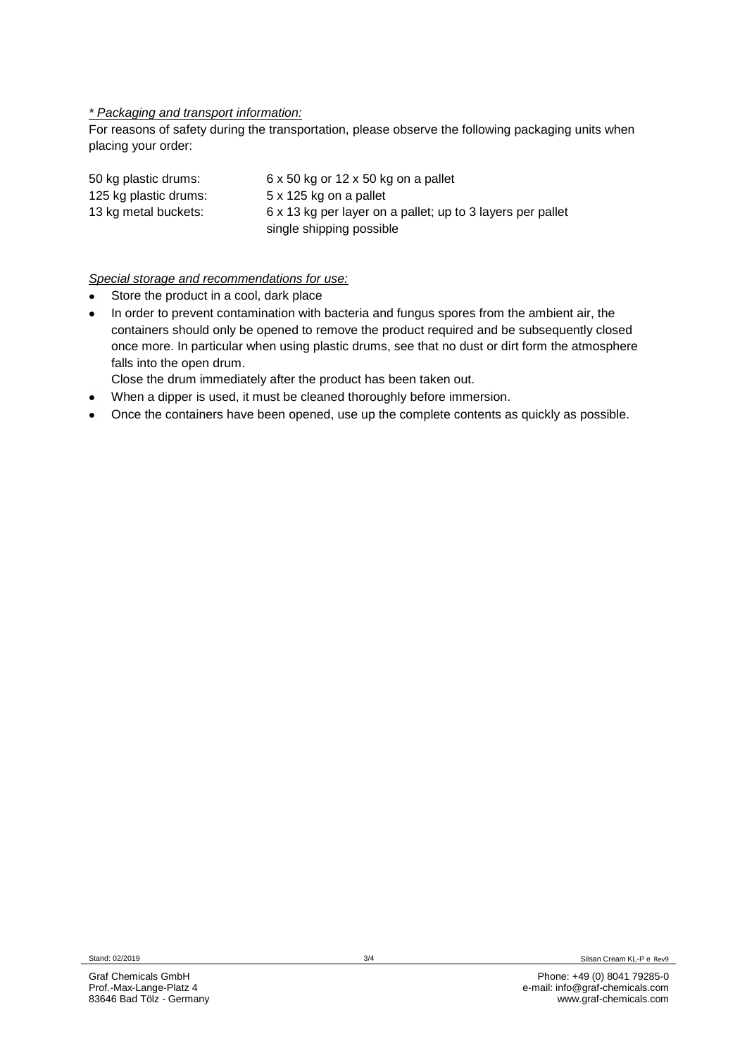#### *\* Packaging and transport information:*

For reasons of safety during the transportation, please observe the following packaging units when placing your order:

| 50 kg plastic drums:  | $6 \times 50$ kg or 12 x 50 kg on a pallet                 |
|-----------------------|------------------------------------------------------------|
| 125 kg plastic drums: | 5 x 125 kg on a pallet                                     |
| 13 kg metal buckets:  | 6 x 13 kg per layer on a pallet; up to 3 layers per pallet |
|                       | single shipping possible                                   |

#### *Special storage and recommendations for use:*

- Store the product in a cool, dark place
- $\bullet$ In order to prevent contamination with bacteria and fungus spores from the ambient air, the containers should only be opened to remove the product required and be subsequently closed once more. In particular when using plastic drums, see that no dust or dirt form the atmosphere falls into the open drum.

Close the drum immediately after the product has been taken out.

- When a dipper is used, it must be cleaned thoroughly before immersion.
- Once the containers have been opened, use up the complete contents as quickly as possible. $\bullet$